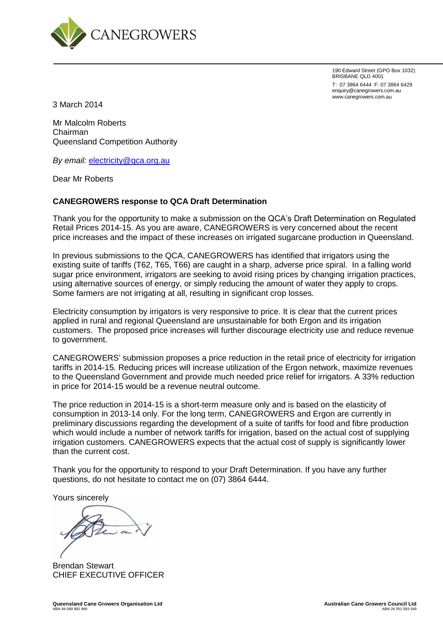

190 Edward Street (GPO Box 1032) BRISBANE QLD 4001 T: 07 3864 6444 F: 07 3864 6429 enquiry@canegrowers.com.au www.canegrowers.com.au

3 March 2014

Mr Malcolm Roberts Chairman Queensland Competition Authority

*By email:* [electricity@qca.org.au](mailto:electricity@qca.org.au)

Dear Mr Roberts

#### **CANEGROWERS response to QCA Draft Determination**

Thank you for the opportunity to make a submission on the QCA's Draft Determination on Regulated Retail Prices 2014-15. As you are aware, CANEGROWERS is very concerned about the recent price increases and the impact of these increases on irrigated sugarcane production in Queensland.

In previous submissions to the QCA, CANEGROWERS has identified that irrigators using the existing suite of tariffs (T62, T65, T66) are caught in a sharp, adverse price spiral. In a falling world sugar price environment, irrigators are seeking to avoid rising prices by changing irrigation practices, using alternative sources of energy, or simply reducing the amount of water they apply to crops. Some farmers are not irrigating at all, resulting in significant crop losses.

Electricity consumption by irrigators is very responsive to price. It is clear that the current prices applied in rural and regional Queensland are unsustainable for both Ergon and its irrigation customers. The proposed price increases will further discourage electricity use and reduce revenue to government.

CANEGROWERS' submission proposes a price reduction in the retail price of electricity for irrigation tariffs in 2014-15. Reducing prices will increase utilization of the Ergon network, maximize revenues to the Queensland Government and provide much needed price relief for irrigators. A 33% reduction in price for 2014-15 would be a revenue neutral outcome.

The price reduction in 2014-15 is a short-term measure only and is based on the elasticity of consumption in 2013-14 only. For the long term, CANEGROWERS and Ergon are currently in preliminary discussions regarding the development of a suite of tariffs for food and fibre production which would include a number of network tariffs for irrigation, based on the actual cost of supplying irrigation customers. CANEGROWERS expects that the actual cost of supply is significantly lower than the current cost.

Thank you for the opportunity to respond to your Draft Determination. If you have any further questions, do not hesitate to contact me on (07) 3864 6444.

Yours sincerely

Brendan Stewart CHIEF EXECUTIVE OFFICER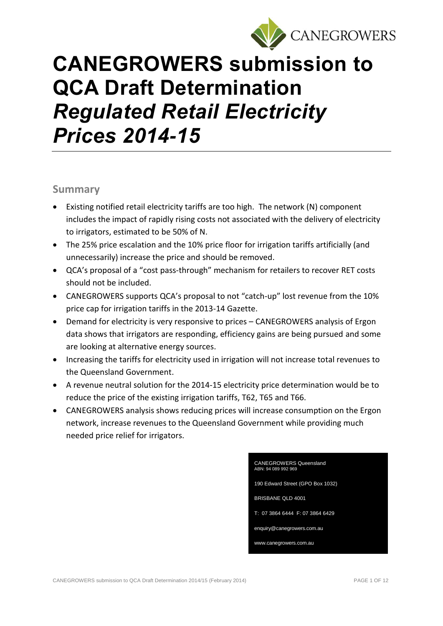

# **CANEGROWERS submission to QCA Draft Determination**  *Regulated Retail Electricity Prices 2014-15*

### **Summary**

- Existing notified retail electricity tariffs are too high. The network (N) component includes the impact of rapidly rising costs not associated with the delivery of electricity to irrigators, estimated to be 50% of N.
- The 25% price escalation and the 10% price floor for irrigation tariffs artificially (and unnecessarily) increase the price and should be removed.
- QCA's proposal of a "cost pass-through" mechanism for retailers to recover RET costs should not be included.
- CANEGROWERS supports QCA's proposal to not "catch-up" lost revenue from the 10% price cap for irrigation tariffs in the 2013-14 Gazette.
- Demand for electricity is very responsive to prices CANEGROWERS analysis of Ergon data shows that irrigators are responding, efficiency gains are being pursued and some are looking at alternative energy sources.
- Increasing the tariffs for electricity used in irrigation will not increase total revenues to the Queensland Government.
- A revenue neutral solution for the 2014-15 electricity price determination would be to reduce the price of the existing irrigation tariffs, T62, T65 and T66.
- CANEGROWERS analysis shows reducing prices will increase consumption on the Ergon network, increase revenues to the Queensland Government while providing much needed price relief for irrigators.

| <b>CANEGROWERS Queensland</b><br>ABN: 94 089 992 969 |
|------------------------------------------------------|
| 190 Edward Street (GPO Box 1032)                     |
| <b>BRISBANE QLD 4001</b>                             |
| T: 07 3864 6444 F: 07 3864 6429                      |
| enguiry@canegrowers.com.au                           |
| www.canegrowers.com.au                               |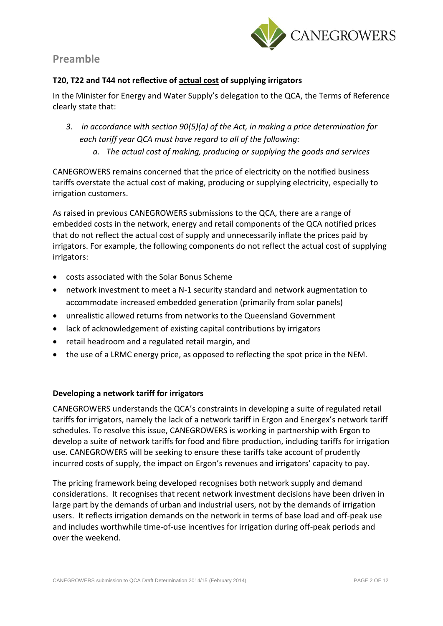

## **Preamble**

#### **T20, T22 and T44 not reflective of actual cost of supplying irrigators**

In the Minister for Energy and Water Supply's delegation to the QCA, the Terms of Reference clearly state that:

- *3. in accordance with section 90(5)(a) of the Act, in making a price determination for each tariff year QCA must have regard to all of the following:*
	- *a. The actual cost of making, producing or supplying the goods and services*

CANEGROWERS remains concerned that the price of electricity on the notified business tariffs overstate the actual cost of making, producing or supplying electricity, especially to irrigation customers.

As raised in previous CANEGROWERS submissions to the QCA, there are a range of embedded costs in the network, energy and retail components of the QCA notified prices that do not reflect the actual cost of supply and unnecessarily inflate the prices paid by irrigators. For example, the following components do not reflect the actual cost of supplying irrigators:

- costs associated with the Solar Bonus Scheme
- network investment to meet a N-1 security standard and network augmentation to accommodate increased embedded generation (primarily from solar panels)
- unrealistic allowed returns from networks to the Queensland Government
- lack of acknowledgement of existing capital contributions by irrigators
- retail headroom and a regulated retail margin, and
- the use of a LRMC energy price, as opposed to reflecting the spot price in the NEM.

#### **Developing a network tariff for irrigators**

CANEGROWERS understands the QCA's constraints in developing a suite of regulated retail tariffs for irrigators, namely the lack of a network tariff in Ergon and Energex's network tariff schedules. To resolve this issue, CANEGROWERS is working in partnership with Ergon to develop a suite of network tariffs for food and fibre production, including tariffs for irrigation use. CANEGROWERS will be seeking to ensure these tariffs take account of prudently incurred costs of supply, the impact on Ergon's revenues and irrigators' capacity to pay.

The pricing framework being developed recognises both network supply and demand considerations. It recognises that recent network investment decisions have been driven in large part by the demands of urban and industrial users, not by the demands of irrigation users. It reflects irrigation demands on the network in terms of base load and off-peak use and includes worthwhile time-of-use incentives for irrigation during off-peak periods and over the weekend.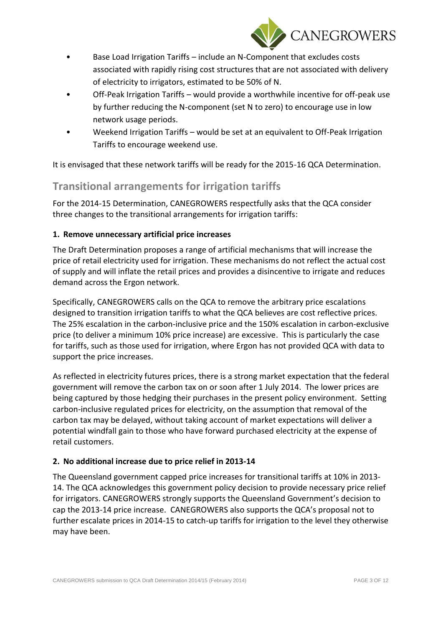

- Base Load Irrigation Tariffs include an N-Component that excludes costs associated with rapidly rising cost structures that are not associated with delivery of electricity to irrigators, estimated to be 50% of N.
- Off-Peak Irrigation Tariffs would provide a worthwhile incentive for off-peak use by further reducing the N-component (set N to zero) to encourage use in low network usage periods.
- Weekend Irrigation Tariffs would be set at an equivalent to Off-Peak Irrigation Tariffs to encourage weekend use.

It is envisaged that these network tariffs will be ready for the 2015-16 QCA Determination.

## **Transitional arrangements for irrigation tariffs**

For the 2014-15 Determination, CANEGROWERS respectfully asks that the QCA consider three changes to the transitional arrangements for irrigation tariffs:

#### **1. Remove unnecessary artificial price increases**

The Draft Determination proposes a range of artificial mechanisms that will increase the price of retail electricity used for irrigation. These mechanisms do not reflect the actual cost of supply and will inflate the retail prices and provides a disincentive to irrigate and reduces demand across the Ergon network.

Specifically, CANEGROWERS calls on the QCA to remove the arbitrary price escalations designed to transition irrigation tariffs to what the QCA believes are cost reflective prices. The 25% escalation in the carbon-inclusive price and the 150% escalation in carbon-exclusive price (to deliver a minimum 10% price increase) are excessive. This is particularly the case for tariffs, such as those used for irrigation, where Ergon has not provided QCA with data to support the price increases.

As reflected in electricity futures prices, there is a strong market expectation that the federal government will remove the carbon tax on or soon after 1 July 2014. The lower prices are being captured by those hedging their purchases in the present policy environment. Setting carbon-inclusive regulated prices for electricity, on the assumption that removal of the carbon tax may be delayed, without taking account of market expectations will deliver a potential windfall gain to those who have forward purchased electricity at the expense of retail customers.

#### **2. No additional increase due to price relief in 2013-14**

The Queensland government capped price increases for transitional tariffs at 10% in 2013- 14. The QCA acknowledges this government policy decision to provide necessary price relief for irrigators. CANEGROWERS strongly supports the Queensland Government's decision to cap the 2013-14 price increase. CANEGROWERS also supports the QCA's proposal not to further escalate prices in 2014-15 to catch-up tariffs for irrigation to the level they otherwise may have been.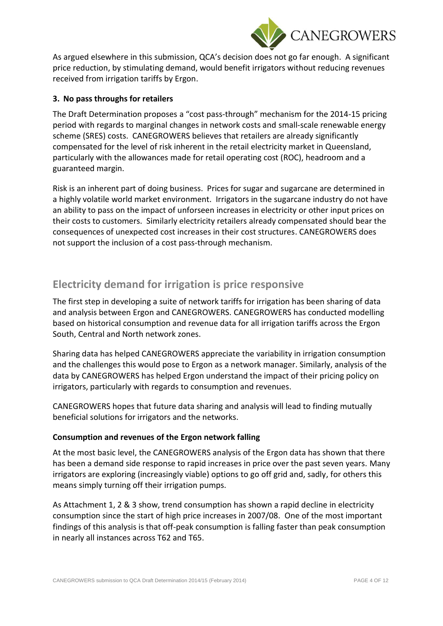

As argued elsewhere in this submission, QCA's decision does not go far enough. A significant price reduction, by stimulating demand, would benefit irrigators without reducing revenues received from irrigation tariffs by Ergon.

#### **3. No pass throughs for retailers**

The Draft Determination proposes a "cost pass-through" mechanism for the 2014-15 pricing period with regards to marginal changes in network costs and small-scale renewable energy scheme (SRES) costs. CANEGROWERS believes that retailers are already significantly compensated for the level of risk inherent in the retail electricity market in Queensland, particularly with the allowances made for retail operating cost (ROC), headroom and a guaranteed margin.

Risk is an inherent part of doing business. Prices for sugar and sugarcane are determined in a highly volatile world market environment. Irrigators in the sugarcane industry do not have an ability to pass on the impact of unforseen increases in electricity or other input prices on their costs to customers. Similarly electricity retailers already compensated should bear the consequences of unexpected cost increases in their cost structures. CANEGROWERS does not support the inclusion of a cost pass-through mechanism.

## **Electricity demand for irrigation is price responsive**

The first step in developing a suite of network tariffs for irrigation has been sharing of data and analysis between Ergon and CANEGROWERS. CANEGROWERS has conducted modelling based on historical consumption and revenue data for all irrigation tariffs across the Ergon South, Central and North network zones.

Sharing data has helped CANEGROWERS appreciate the variability in irrigation consumption and the challenges this would pose to Ergon as a network manager. Similarly, analysis of the data by CANEGROWERS has helped Ergon understand the impact of their pricing policy on irrigators, particularly with regards to consumption and revenues.

CANEGROWERS hopes that future data sharing and analysis will lead to finding mutually beneficial solutions for irrigators and the networks.

#### **Consumption and revenues of the Ergon network falling**

At the most basic level, the CANEGROWERS analysis of the Ergon data has shown that there has been a demand side response to rapid increases in price over the past seven years. Many irrigators are exploring (increasingly viable) options to go off grid and, sadly, for others this means simply turning off their irrigation pumps.

As Attachment 1, 2 & 3 show, trend consumption has shown a rapid decline in electricity consumption since the start of high price increases in 2007/08. One of the most important findings of this analysis is that off-peak consumption is falling faster than peak consumption in nearly all instances across T62 and T65.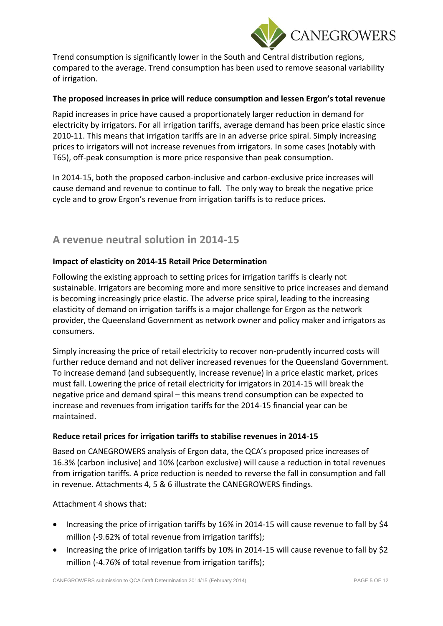

Trend consumption is significantly lower in the South and Central distribution regions, compared to the average. Trend consumption has been used to remove seasonal variability of irrigation.

#### **The proposed increases in price will reduce consumption and lessen Ergon's total revenue**

Rapid increases in price have caused a proportionately larger reduction in demand for electricity by irrigators. For all irrigation tariffs, average demand has been price elastic since 2010-11. This means that irrigation tariffs are in an adverse price spiral. Simply increasing prices to irrigators will not increase revenues from irrigators. In some cases (notably with T65), off-peak consumption is more price responsive than peak consumption.

In 2014-15, both the proposed carbon-inclusive and carbon-exclusive price increases will cause demand and revenue to continue to fall. The only way to break the negative price cycle and to grow Ergon's revenue from irrigation tariffs is to reduce prices.

## **A revenue neutral solution in 2014-15**

#### **Impact of elasticity on 2014-15 Retail Price Determination**

Following the existing approach to setting prices for irrigation tariffs is clearly not sustainable. Irrigators are becoming more and more sensitive to price increases and demand is becoming increasingly price elastic. The adverse price spiral, leading to the increasing elasticity of demand on irrigation tariffs is a major challenge for Ergon as the network provider, the Queensland Government as network owner and policy maker and irrigators as consumers.

Simply increasing the price of retail electricity to recover non-prudently incurred costs will further reduce demand and not deliver increased revenues for the Queensland Government. To increase demand (and subsequently, increase revenue) in a price elastic market, prices must fall. Lowering the price of retail electricity for irrigators in 2014-15 will break the negative price and demand spiral – this means trend consumption can be expected to increase and revenues from irrigation tariffs for the 2014-15 financial year can be maintained.

#### **Reduce retail prices for irrigation tariffs to stabilise revenues in 2014-15**

Based on CANEGROWERS analysis of Ergon data, the QCA's proposed price increases of 16.3% (carbon inclusive) and 10% (carbon exclusive) will cause a reduction in total revenues from irrigation tariffs. A price reduction is needed to reverse the fall in consumption and fall in revenue. Attachments 4, 5 & 6 illustrate the CANEGROWERS findings.

#### Attachment 4 shows that:

- Increasing the price of irrigation tariffs by 16% in 2014-15 will cause revenue to fall by \$4 million (-9.62% of total revenue from irrigation tariffs);
- Increasing the price of irrigation tariffs by 10% in 2014-15 will cause revenue to fall by \$2 million (-4.76% of total revenue from irrigation tariffs);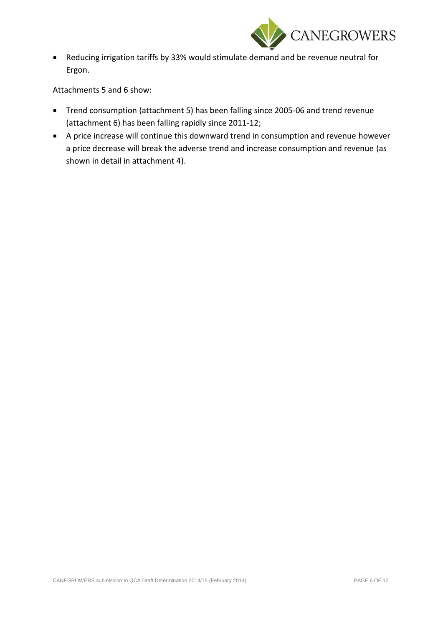

 Reducing irrigation tariffs by 33% would stimulate demand and be revenue neutral for Ergon.

Attachments 5 and 6 show:

- Trend consumption (attachment 5) has been falling since 2005-06 and trend revenue (attachment 6) has been falling rapidly since 2011-12;
- A price increase will continue this downward trend in consumption and revenue however a price decrease will break the adverse trend and increase consumption and revenue (as shown in detail in attachment 4).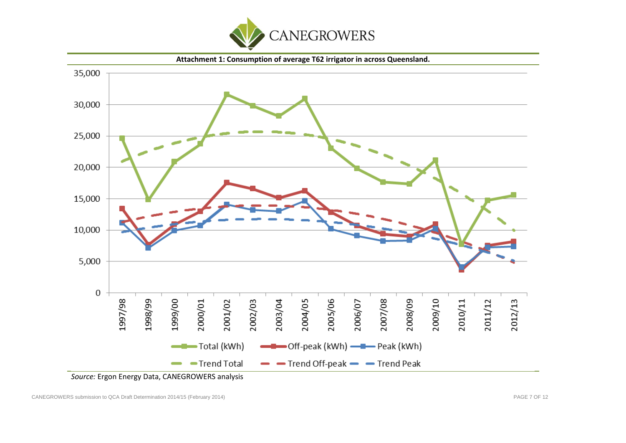



*Source:* Ergon Energy Data, CANEGROWERS analysis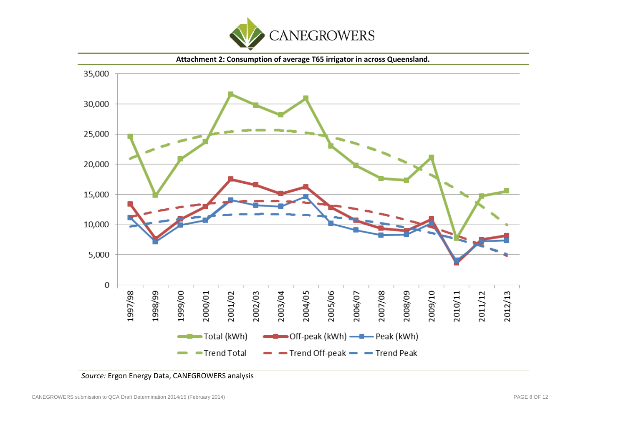



*Source:* Ergon Energy Data, CANEGROWERS analysis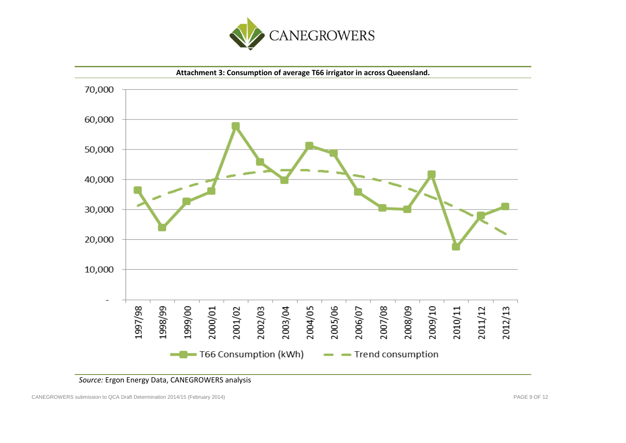



#### *Source:* Ergon Energy Data, CANEGROWERS analysis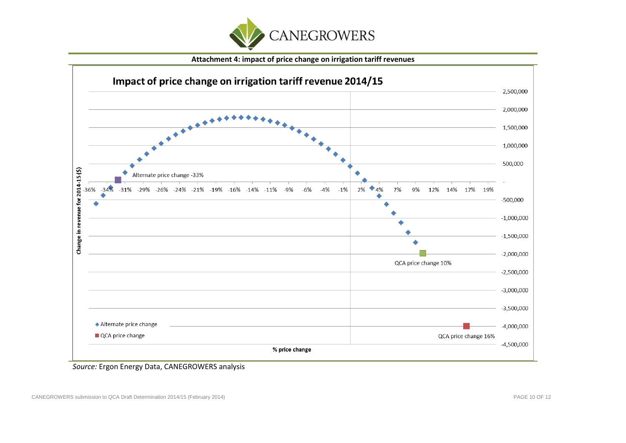

**Attachment 4: impact of price change on irrigation tariff revenues** 



*Source:* Ergon Energy Data, CANEGROWERS analysis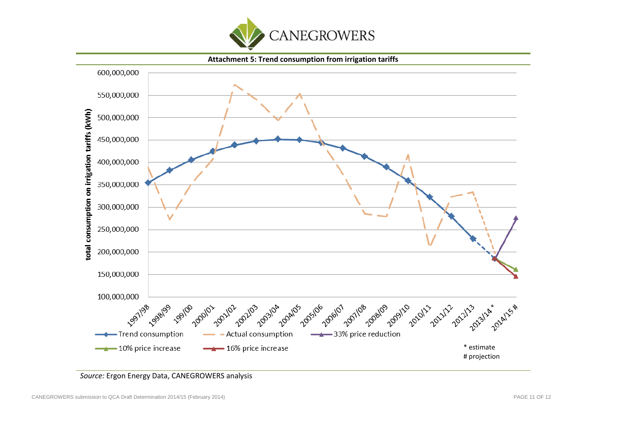

**Attachment 5: Trend consumption from irrigation tariffs**  600,000,000 550,000,000 otal consumption on irrigation tariffs (kWh) 500.000.000 450,000,000 400,000,000 350,000,000 300,000,000  $\checkmark$ 250,000,000 200,000,000 150,000,000 100,000,000 **Sissi** 198 **199100** 20allos 2005/06 209110 10 2010/11 202122 98 <sub>1998</sub> 99 200101 1202/03 203/04 2006/07 11/108 2goulos 122 20123 **14x 2014**5# 01- 2021/02 21123 2011 -Trend consumption Actual consumption 33% price reduction 10% price increase -16% price increase \* estimate # projection

*Source:* Ergon Energy Data, CANEGROWERS analysis